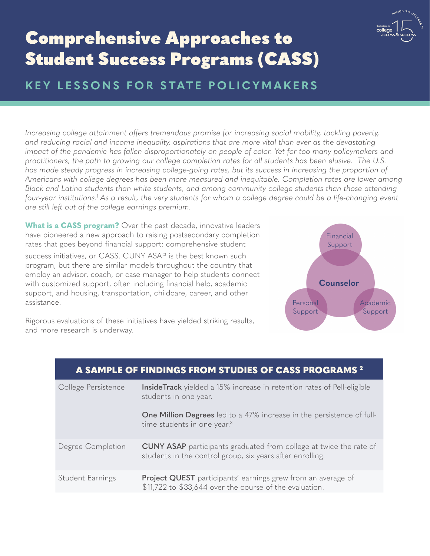

# <span id="page-0-0"></span>Comprehensive Approaches to Student Success Programs (CASS)

## **KEY LESSONS FOR STATE POLICYMAKERS**

*Increasing college attainment offers tremendous promise for increasing social mobility, tackling poverty,* and reducing racial and income inequality, aspirations that are more vital than ever as the devastating *impact of the pandemic has fallen disproportionately on people of color. Yet for too many policymakers and practitioners, the path to growing our college completion rates for all students has been elusive. The U.S. has made steady progress in increasing college-going rates, but its success in increasing the proportion of Americans with college degrees has been more measured and inequitable. Completion rates are lower among Black and Latino students than white students, and among community college students than those attending*  four-year institutions.<sup>1</sup> As a result, the very students for whom a college degree could be a life-changing event *are still left out of the college earnings premium.*

What is a **CASS program?** Over the past decade, innovative leaders have pioneered a new approach to raising postsecondary completion rates that goes beyond financial support: comprehensive student success initiatives, or CASS. CUNY ASAP is the best known such program, but there are similar models throughout the country that employ an advisor, coach, or case manager to help students connect with customized support, often including financial help, academic



Rigorous evaluations of these initiatives have yielded striking results, and more research is underway.

support, and housing, transportation, childcare, career, and other

assistance.

| A SAMPLE OF FINDINGS FROM STUDIES OF CASS PROGRAMS <sup>2</sup> |                                                                                                                                        |
|-----------------------------------------------------------------|----------------------------------------------------------------------------------------------------------------------------------------|
| College Persistence                                             | <b>InsideTrack</b> yielded a 15% increase in retention rates of Pell-eligible<br>students in one year.                                 |
|                                                                 | One Million Degrees led to a 47% increase in the persistence of full-<br>time students in one year. <sup>3</sup>                       |
| Degree Completion                                               | <b>CUNY ASAP</b> participants graduated from college at twice the rate of<br>students in the control group, six years after enrolling. |
| Student Earnings                                                | <b>Project QUEST</b> participants' earnings grew from an average of<br>\$11,722 to \$33,644 over the course of the evaluation.         |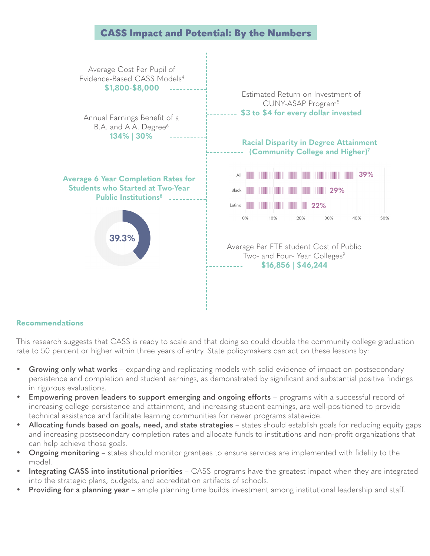### CASS Impact and Potential: By the Numbers

<span id="page-1-0"></span>

#### **Recommendations**

This research suggests that CASS is ready to scale and that doing so could double the community college graduation rate to 50 percent or higher within three years of entry. State policymakers can act on these lessons by:

- **Growing only what works** expanding and replicating models with solid evidence of impact on postsecondary persistence and completion and student earnings, as demonstrated by significant and substantial positive findings in rigorous evaluations.
- **Empowering proven leaders to support emerging and ongoing efforts** programs with a successful record of increasing college persistence and attainment, and increasing student earnings, are well-positioned to provide technical assistance and facilitate learning communities for newer programs statewide.
- **Allocating funds based on goals, need, and state strategies** states should establish goals for reducing equity gaps and increasing postsecondary completion rates and allocate funds to institutions and non-profit organizations that can help achieve those goals.
- **Ongoing monitoring** states should monitor grantees to ensure services are implemented with fidelity to the model.
- **Integrating CASS into institutional priorities** CASS programs have the greatest impact when they are integrated into the strategic plans, budgets, and accreditation artifacts of schools.
- **Providing for a planning year** ample planning time builds investment among institutional leadership and staff.